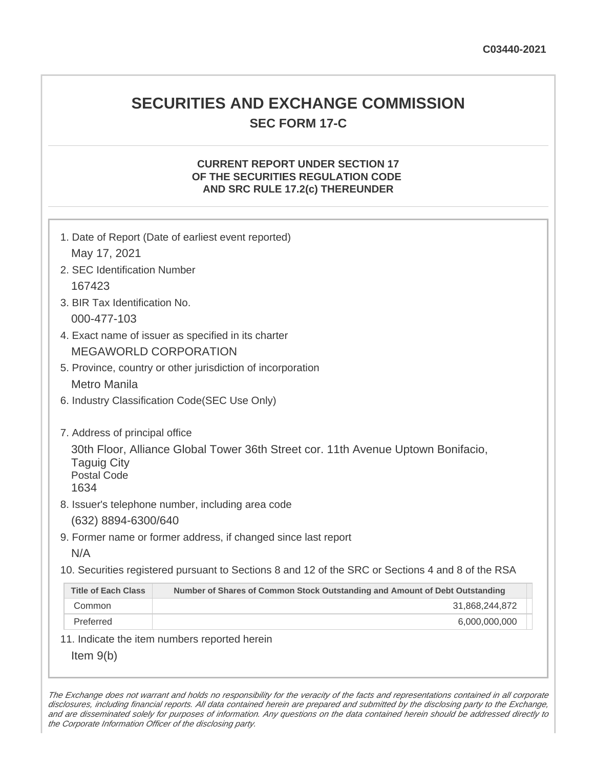## **SECURITIES AND EXCHANGE COMMISSION SEC FORM 17-C**

#### **CURRENT REPORT UNDER SECTION 17 OF THE SECURITIES REGULATION CODE AND SRC RULE 17.2(c) THEREUNDER**

| 1. Date of Report (Date of earliest event reported)<br>May 17, 2021                                                                                                    |                                                                                                   |  |
|------------------------------------------------------------------------------------------------------------------------------------------------------------------------|---------------------------------------------------------------------------------------------------|--|
| 2. SEC Identification Number                                                                                                                                           |                                                                                                   |  |
| 167423                                                                                                                                                                 |                                                                                                   |  |
| 3. BIR Tax Identification No.                                                                                                                                          |                                                                                                   |  |
| 000-477-103                                                                                                                                                            |                                                                                                   |  |
| 4. Exact name of issuer as specified in its charter                                                                                                                    |                                                                                                   |  |
| <b>MEGAWORLD CORPORATION</b>                                                                                                                                           |                                                                                                   |  |
| 5. Province, country or other jurisdiction of incorporation                                                                                                            |                                                                                                   |  |
| <b>Metro Manila</b>                                                                                                                                                    |                                                                                                   |  |
| 6. Industry Classification Code(SEC Use Only)                                                                                                                          |                                                                                                   |  |
| 7. Address of principal office<br>30th Floor, Alliance Global Tower 36th Street cor. 11th Avenue Uptown Bonifacio,<br><b>Taguig City</b><br><b>Postal Code</b><br>1634 |                                                                                                   |  |
|                                                                                                                                                                        | 8. Issuer's telephone number, including area code                                                 |  |
| (632) 8894-6300/640                                                                                                                                                    |                                                                                                   |  |
|                                                                                                                                                                        | 9. Former name or former address, if changed since last report                                    |  |
| N/A                                                                                                                                                                    |                                                                                                   |  |
|                                                                                                                                                                        | 10. Securities registered pursuant to Sections 8 and 12 of the SRC or Sections 4 and 8 of the RSA |  |
| <b>Title of Each Class</b>                                                                                                                                             | Number of Shares of Common Stock Outstanding and Amount of Debt Outstanding                       |  |
| Common                                                                                                                                                                 | 31,868,244,872                                                                                    |  |
| Preferred                                                                                                                                                              | 6,000,000,000                                                                                     |  |
|                                                                                                                                                                        | 11. Indicate the item numbers reported herein                                                     |  |
| Item $9(b)$                                                                                                                                                            |                                                                                                   |  |

The Exchange does not warrant and holds no responsibility for the veracity of the facts and representations contained in all corporate disclosures, including financial reports. All data contained herein are prepared and submitted by the disclosing party to the Exchange, and are disseminated solely for purposes of information. Any questions on the data contained herein should be addressed directly to the Corporate Information Officer of the disclosing party.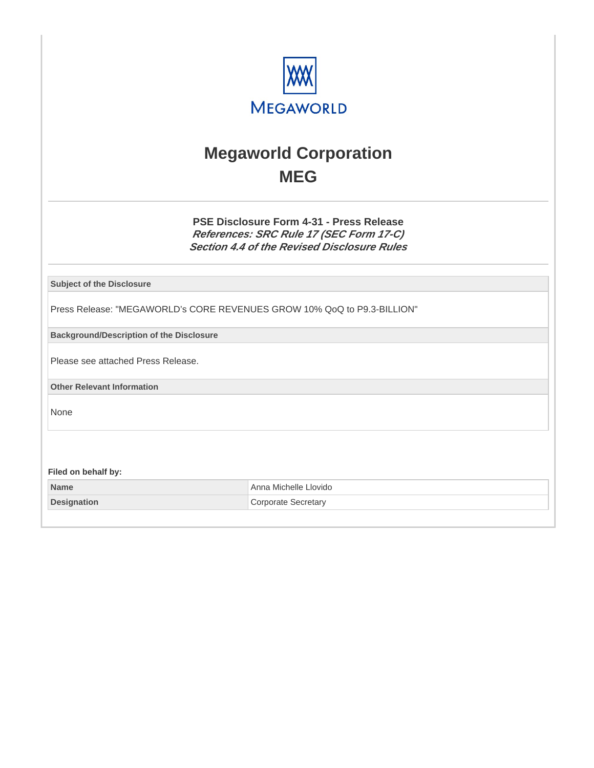

## **Megaworld Corporation MEG**

**PSE Disclosure Form 4-31 - Press Release References: SRC Rule 17 (SEC Form 17-C) Section 4.4 of the Revised Disclosure Rules**

**Subject of the Disclosure**

Press Release: "MEGAWORLD's CORE REVENUES GROW 10% QoQ to P9.3-BILLION"

**Background/Description of the Disclosure**

Please see attached Press Release.

**Other Relevant Information**

None

**Filed on behalf by:**

| <b>Name</b>        | ⊦Anna Michelle Llovido |
|--------------------|------------------------|
| <b>Designation</b> | Corporate Secretary    |
|                    |                        |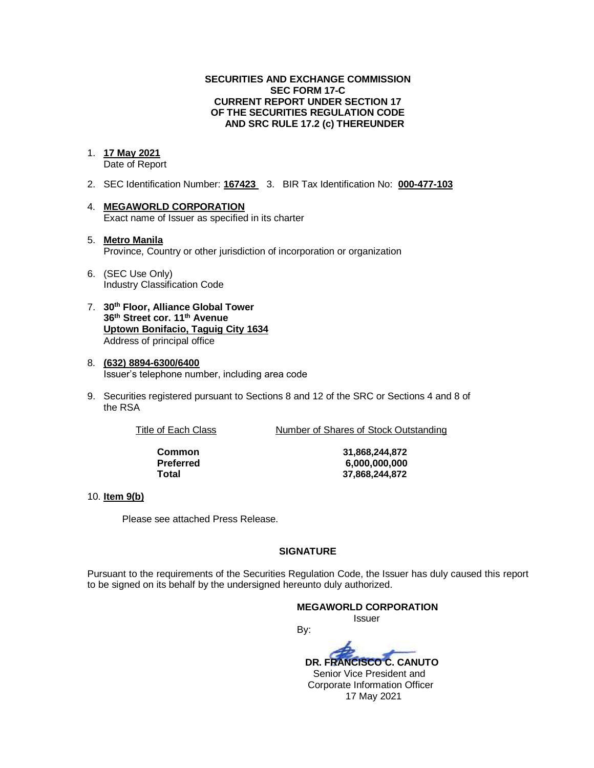#### **SECURITIES AND EXCHANGE COMMISSION SEC FORM 17-C CURRENT REPORT UNDER SECTION 17 OF THE SECURITIES REGULATION CODE AND SRC RULE 17.2 (c) THEREUNDER**

#### 1. **17 May 2021**

Date of Report

- 2. SEC Identification Number: **167423** 3. BIR Tax Identification No: **000-477-103**
- 4. **MEGAWORLD CORPORATION** Exact name of Issuer as specified in its charter
- 5. **Metro Manila** Province, Country or other jurisdiction of incorporation or organization
- 6. (SEC Use Only) Industry Classification Code
- 7. **30th Floor, Alliance Global Tower 36th Street cor. 11th Avenue Uptown Bonifacio, Taguig City 1634** Address of principal office
- 8. **(632) 8894-6300/6400** Issuer's telephone number, including area code
- 9. Securities registered pursuant to Sections 8 and 12 of the SRC or Sections 4 and 8 of the RSA

Title of Each Class Number of Shares of Stock Outstanding

**Common 31,868,244,872 Preferred 6,000,000,000 Total 37,868,244,872**

#### 10. **Item 9(b)**

Please see attached Press Release.

#### **SIGNATURE**

Pursuant to the requirements of the Securities Regulation Code, the Issuer has duly caused this report to be signed on its behalf by the undersigned hereunto duly authorized.

By:

**MEGAWORLD CORPORATION** Issuer

 **DR. FRANCISCO C. CANUTO** Senior Vice President and Corporate Information Officer 17 May 2021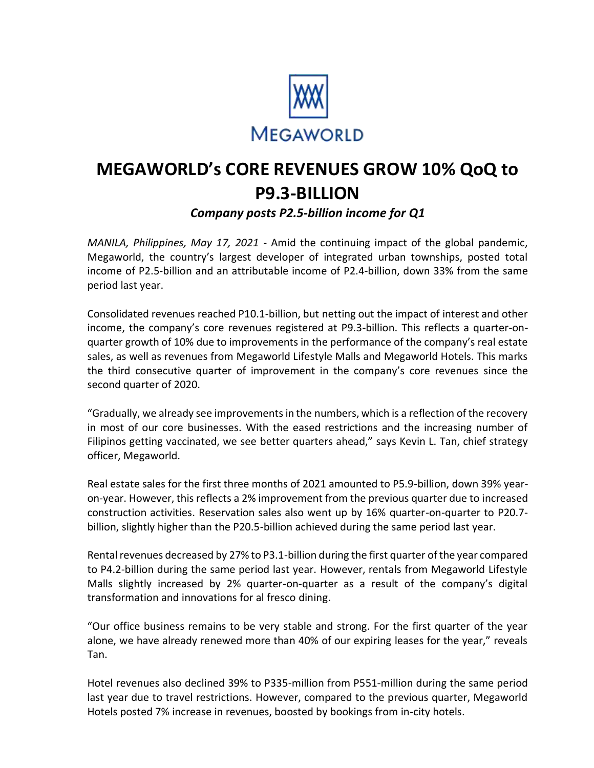

# **MEGAWORLD's CORE REVENUES GROW 10% QoQ to P9.3-BILLION**

### *Company posts P2.5-billion income for Q1*

*MANILA, Philippines, May 17, 2021* ‐ Amid the continuing impact of the global pandemic, Megaworld, the country's largest developer of integrated urban townships, posted total income of P2.5-billion and an attributable income of P2.4-billion, down 33% from the same period last year.

Consolidated revenues reached P10.1-billion, but netting out the impact of interest and other income, the company's core revenues registered at P9.3-billion. This reflects a quarter-onquarter growth of 10% due to improvements in the performance of the company's real estate sales, as well as revenues from Megaworld Lifestyle Malls and Megaworld Hotels. This marks the third consecutive quarter of improvement in the company's core revenues since the second quarter of 2020.

"Gradually, we already see improvements in the numbers, which is a reflection of the recovery in most of our core businesses. With the eased restrictions and the increasing number of Filipinos getting vaccinated, we see better quarters ahead," says Kevin L. Tan, chief strategy officer, Megaworld.

Real estate sales for the first three months of 2021 amounted to P5.9-billion, down 39% yearon-year. However, this reflects a 2% improvement from the previous quarter due to increased construction activities. Reservation sales also went up by 16% quarter-on-quarter to P20.7 billion, slightly higher than the P20.5-billion achieved during the same period last year.

Rental revenues decreased by 27% to P3.1-billion during the first quarter of the year compared to P4.2-billion during the same period last year. However, rentals from Megaworld Lifestyle Malls slightly increased by 2% quarter-on-quarter as a result of the company's digital transformation and innovations for al fresco dining.

"Our office business remains to be very stable and strong. For the first quarter of the year alone, we have already renewed more than 40% of our expiring leases for the year," reveals Tan.

Hotel revenues also declined 39% to P335-million from P551-million during the same period last year due to travel restrictions. However, compared to the previous quarter, Megaworld Hotels posted 7% increase in revenues, boosted by bookings from in-city hotels.